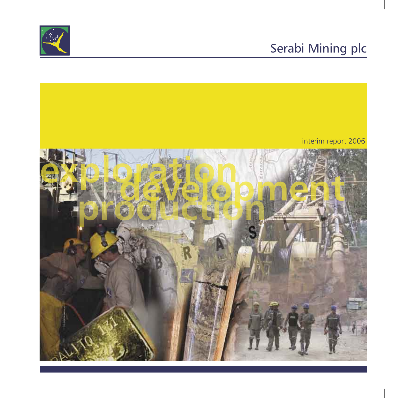# Serabi Mining plc



### interim report 2006

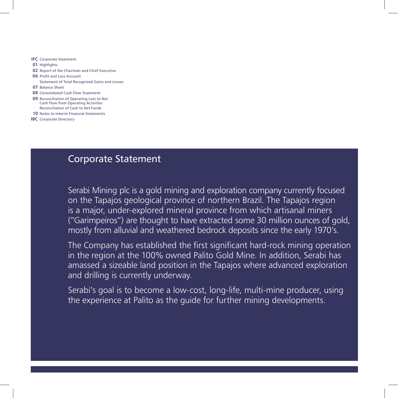- **IFC** Corporate Statement
- **01** Highlights
- **02** Report of the Chairman and Chief Executive
- **06** Profit and Loss Account Statement of Total Recognised Gains and Losses
- **07** Balance Sheet
- **08** Consolidated Cash Flow Statement
- **09** Reconciliation of Operating Loss to Net Cash Flow from Operating Activities Reconciliation of Cash to Net Funds
- **10** Notes to Interim Financial Statements
- **IBC** Corporate Directory

### Corporate Statement

Serabi Mining plc is a gold mining and exploration company currently focused on the Tapajos geological province of northern Brazil. The Tapajos region is a major, under-explored mineral province from which artisanal miners ("Garimpeiros") are thought to have extracted some 30 million ounces of gold, mostly from alluvial and weathered bedrock deposits since the early 1970's.

The Company has established the first significant hard-rock mining operation in the region at the 100% owned Palito Gold Mine. In addition, Serabi has amassed a sizeable land position in the Tapajos where advanced exploration and drilling is currently underway.

Serabi's goal is to become a low-cost, long-life, multi-mine producer, using the experience at Palito as the guide for further mining developments.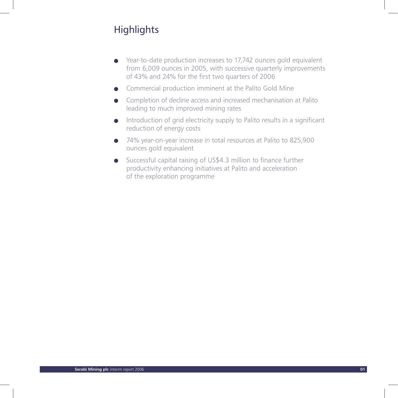# **Highlights**

- Year-to-date production increases to 17,742 ounces gold equivalent from 6,009 ounces in 2005, with successive quarterly improvements of 43% and 24% for the first two quarters of 2006
- Commercial production imminent at the Palito Gold Mine
- Completion of decline access and increased mechanisation at Palito leading to much improved mining rates
- Introduction of grid electricity supply to Palito results in a significant reduction of energy costs
- 74% year-on-year increase in total resources at Palito to 825,900 ounces gold equivalent
- Successful capital raising of US\$4.3 million to finance further productivity enhancing initiatives at Palito and acceleration of the exploration programme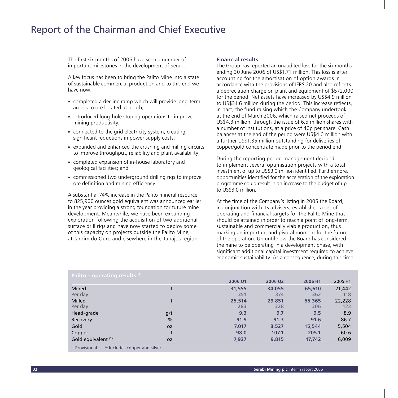### Report of the Chairman and Chief Executive

The first six months of 2006 have seen a number of important milestones in the development of Serabi.

A key focus has been to bring the Palito Mine into a state of sustainable commercial production and to this end we have now:

- completed a decline ramp which will provide long-term access to ore located at depth;
- introduced long-hole stoping operations to improve mining productivity;
- connected to the grid electricity system, creating significant reductions in power supply costs;
- expanded and enhanced the crushing and milling circuits to improve throughput, reliability and plant availability;
- completed expansion of in-house laboratory and geological facilities; and
- commissioned two underground drilling rigs to improve ore definition and mining efficiency.

A substantial 74% increase in the Palito mineral resource to 825,900 ounces gold equivalent was announced earlier in the year providing a strong foundation for future mine development. Meanwhile, we have been expanding exploration following the acquisition of two additional surface drill rigs and have now started to deploy some of this capacity on projects outside the Palito Mine, at Jardim do Ouro and elsewhere in the Tapajos region.

#### **Financial results**

The Group has reported an unaudited loss for the six months ending 30 June 2006 of US\$1.71 million. This loss is after accounting for the amortisation of option awards in accordance with the provisions of IFRS 20 and also reflects a depreciation charge on plant and equipment of \$572,000 for the period. Net assets have increased by US\$4.9 million to US\$31.6 million during the period. This increase reflects, in part, the fund raising which the Company undertook at the end of March 2006, which raised net proceeds of US\$4.3 million, through the issue of 6.5 million shares with a number of institutions, at a price of 40p per share. Cash balances at the end of the period were US\$4.0 million with a further US\$1.35 million outstanding for deliveries of copper/gold concentrate made prior to the period end.

During the reporting period management decided to implement several optimisation projects with a total investment of up to US\$3.0 million identified. Furthermore, opportunities identified for the acceleration of the exploration programme could result in an increase to the budget of up to US\$3.0 million.

At the time of the Company's listing in 2005 the Board, in conjunction with its advisers, established a set of operating and financial targets for the Palito Mine that should be attained in order to reach a point of long-term, sustainable and commercially viable production, thus marking an important and pivotal moment for the future of the operation. Up until now the Board has considered the mine to be operating in a development phase, with significant additional capital investment required to achieve economic sustainability. As a consequence, during this time

| Palito – operating results $(1)$                    |           |         |         |         |         |
|-----------------------------------------------------|-----------|---------|---------|---------|---------|
|                                                     |           | 2006 01 | 2006 02 | 2006 H1 | 2005 H1 |
| Mined                                               | t         | 31,555  | 34,055  | 65,610  | 21,442  |
| Per day                                             |           | 351     | 374     | 362     | 118     |
| <b>Milled</b>                                       | t         | 25,514  | 29,851  | 55,365  | 22,228  |
| Per day                                             |           | 283     | 328     | 306     | 123     |
| Head-grade                                          | g/t       | 9.3     | 9.7     | 9.5     | 8.9     |
| Recovery                                            | $\%$      | 91.9    | 91.3    | 91.6    | 86.7    |
| Gold                                                | <b>OZ</b> | 7,017   | 8,527   | 15,544  | 5,504   |
| Copper                                              | t         | 98.0    | 107.1   | 205.1   | 60.6    |
| Gold equivalent (2)                                 | <b>OZ</b> | 7,927   | 9,815   | 17,742  | 6,009   |
| $(1)$ Provisional<br>(2) Includes copper and silver |           |         |         |         |         |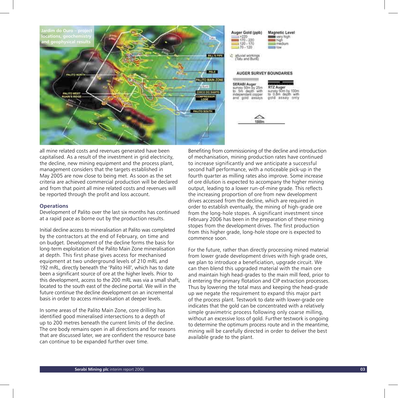

all mine related costs and revenues generated have been capitalised. As a result of the investment in grid electricity, the decline, new mining equipment and the process plant, management considers that the targets established in May 2005 are now close to being met. As soon as the set criteria are achieved commercial production will be declared and from that point all mine related costs and revenues will be reported through the profit and loss account.

#### **Operations**

Development of Palito over the last six months has continued at a rapid pace as borne out by the production results.

Initial decline access to mineralisation at Palito was completed by the contractors at the end of February, on time and on budget. Development of the decline forms the basis for long-term exploitation of the Palito Main Zone mineralisation at depth. This first phase gives access for mechanised equipment at two underground levels of 210 mRL and 192 mRL, directly beneath the 'Palito Hill', which has to date been a significant source of ore at the higher levels. Prior to this development, access to the 200 mRL was via a small shaft, located to the south east of the decline portal. We will in the future continue the decline development on an incremental basis in order to access mineralisation at deeper levels.

In some areas of the Palito Main Zone, core drilling has identified good mineralised intersections to a depth of up to 200 metres beneath the current limits of the decline. The ore body remains open in all directions and for reasons that are discussed later, we are confident the resource base can continue to be expanded further over time.

Benefiting from commissioning of the decline and introduction of mechanisation, mining production rates have continued to increase significantly and we anticipate a successful second half performance, with a noticeable pick-up in the fourth quarter as milling rates also improve. Some increase of ore dilution is expected to accompany the higher mining output, leading to a lower run-of-mine grade. This reflects the increasing proportion of ore from new development drives accessed from the decline, which are required in order to establish eventually, the mining of high-grade ore from the long-hole stopes. A significant investment since February 2006 has been in the preparation of these mining stopes from the development drives. The first production from this higher grade, long-hole stope ore is expected to commence soon.

For the future, rather than directly processing mined material from lower grade development drives with high grade ores. we plan to introduce a beneficiation, upgrade circuit. We can then blend this upgraded material with the main ore and maintain high head-grades to the main mill feed, prior to it entering the primary flotation and CIP extraction processes. Thus by lowering the total mass and keeping the head-grade up we negate the requirement to expand this major part of the process plant. Testwork to date with lower-grade ore indicates that the gold can be concentrated with a relatively simple gravimetric process following only coarse milling, without an excessive loss of gold. Further testwork is ongoing to determine the optimum process route and in the meantime, mining will be carefully directed in order to deliver the best available grade to the plant.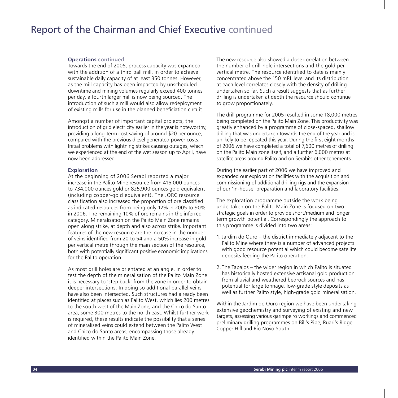### Report of the Chairman and Chief Executive continued

#### **Operations continued**

Towards the end of 2005, process capacity was expanded with the addition of a third ball mill, in order to achieve sustainable daily capacity of at least 350 tonnes. However, as the mill capacity has been impacted by unscheduled downtime and mining volumes regularly exceed 400 tonnes per day, a fourth larger mill is now being sourced. The introduction of such a mill would also allow redeployment of existing mills for use in the planned beneficiation circuit.

Amongst a number of important capital projects, the introduction of grid electricity earlier in the year is noteworthy, providing a long-term cost saving of around \$20 per ounce, compared with the previous diesel generated power costs. Initial problems with lightning strikes causing outages, which we experienced at the end of the wet season up to April, have now been addressed.

#### **Exploration**

At the beginning of 2006 Serabi reported a major increase in the Palito Mine resource from 416,000 ounces to 734,000 ounces gold or 825,900 ounces gold equivalent (including copper-gold equivalent). The JORC resource classification also increased the proportion of ore classified as indicated resources from being only 12% in 2005 to 90% in 2006. The remaining 10% of ore remains in the inferred category. Mineralisation on the Palito Main Zone remains open along strike, at depth and also across strike. Important features of the new resource are the increase in the number of veins identified from 20 to 54 and a 50% increase in gold per vertical metre through the main section of the resource, both with potentially significant positive economic implications for the Palito operation.

As most drill holes are orientated at an angle, in order to test the depth of the mineralisation of the Palito Main Zone it is necessary to 'step back' from the zone in order to obtain deeper intersections. In doing so additional parallel veins have also been intersected. Such structures had already been identified at places such as Palito West, which lies 200 metres to the south west of the Main Zone, and the Chico do Santo area, some 300 metres to the north east. Whilst further work is required, these results indicate the possibility that a series of mineralised veins could extend between the Palito West and Chico do Santo areas, encompassing those already identified within the Palito Main Zone.

The new resource also showed a close correlation between the number of drill-hole intersections and the gold per vertical metre. The resource identified to date is mainly concentrated above the 150 mRL level and its distribution at each level correlates closely with the density of drilling undertaken so far. Such a result suggests that as further drilling is undertaken at depth the resource should continue to grow proportionately.

The drill programme for 2005 resulted in some 18,000 metres being completed on the Palito Main Zone. This productivity was greatly enhanced by a programme of close-spaced, shallow drilling that was undertaken towards the end of the year and is unlikely to be repeated this year. During the first eight months of 2006 we have completed a total of 7,600 metres of drilling on the Palito Main zone itself, and a further 6,000 metres at satellite areas around Palito and on Serabi's other tenements.

During the earlier part of 2006 we have improved and expanded our exploration facilities with the acquisition and commissioning of additional drilling rigs and the expansion of our 'in-house' preparation and laboratory facilities.

The exploration programme outside the work being undertaken on the Palito Main Zone is focused on two strategic goals in order to provide short/medium and longer term growth potential. Correspondingly the approach to this programme is divided into two areas:

- 1. Jardim do Ouro the district immediately adjacent to the Palito Mine where there is a number of advanced projects with good resource potential which could become satellite deposits feeding the Palito operation.
- 2. The Tapajos the wider region in which Palito is situated has historically hosted extensive artisanal gold production from alluvial and weathered bedrock sources and has potential for large tonnage, low-grade style deposits as well as further Palito style, high-grade gold mineralisation.

Within the Jardim do Ouro region we have been undertaking extensive geochemistry and surveying of existing and new targets, assessing various garimpeiro workings and commenced preliminary drilling programmes on Bill's Pipe, Ruari's Ridge, Copper Hill and Rio Novo South.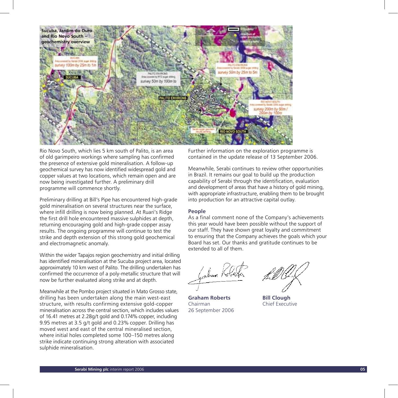

Rio Novo South, which lies 5 km south of Palito, is an area of old garimpeiro workings where sampling has confirmed the presence of extensive gold mineralisation. A follow-up geochemical survey has now identified widespread gold and copper values at two locations, which remain open and are now being investigated further. A preliminary drill programme will commence shortly.

Preliminary drilling at Bill's Pipe has encountered high-grade gold mineralisation on several structures near the surface, where infill drilling is now being planned. At Ruari's Ridge the first drill hole encountered massive sulphides at depth, returning encouraging gold and high-grade copper assay results. The ongoing programme will continue to test the strike and depth extension of this strong gold geochemical and electromagnetic anomaly.

Within the wider Tapajos region geochemistry and initial drilling has identified mineralisation at the Sucuba project area, located approximately 10 km west of Palito. The drilling undertaken has confirmed the occurrence of a poly-metallic structure that will now be further evaluated along strike and at depth.

Meanwhile at the Pombo project situated in Mato Grosso state, drilling has been undertaken along the main west-east structure, with results confirming extensive gold-copper mineralisation across the central section, which includes values of 16.41 metres at 2.28g/t gold and 0.174% copper, including 9.95 metres at 3.5 g/t gold and 0.23% copper. Drilling has moved west and east of the central mineralised section, where initial holes completed some 100–150 metres along strike indicate continuing strong alteration with associated sulphide mineralisation.

Further information on the exploration programme is contained in the update release of 13 September 2006.

Meanwhile, Serabi continues to review other opportunities in Brazil. It remains our goal to build up the production capability of Serabi through the identification, evaluation and development of areas that have a history of gold mining, with appropriate infrastructure, enabling them to be brought into production for an attractive capital outlay.

#### **People**

As a final comment none of the Company's achievements this year would have been possible without the support of our staff. They have shown great loyalty and commitment to ensuring that the Company achieves the goals which your Board has set. Our thanks and gratitude continues to be extended to all of them.

**Graham Roberts Bill Clough** Chairman Chief Executive 26 September 2006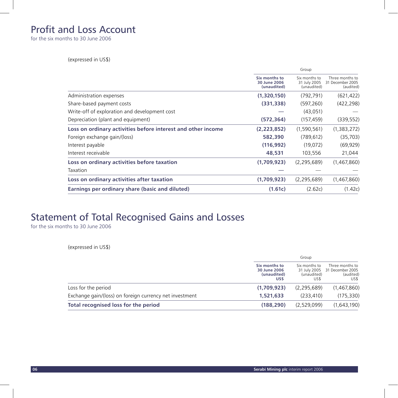### Profit and Loss Account

for the six months to 30 June 2006

(expressed in US\$)

|                                                              | Group                                        |                                              |                                                  |
|--------------------------------------------------------------|----------------------------------------------|----------------------------------------------|--------------------------------------------------|
|                                                              | Six months to<br>30 June 2006<br>(unaudited) | Six months to<br>31 July 2005<br>(unaudited) | Three months to<br>31 December 2005<br>(audited) |
| Administration expenses                                      | (1,320,150)                                  | (792, 791)                                   | (621, 422)                                       |
| Share-based payment costs                                    | (331, 338)                                   | (597, 260)                                   | (422, 298)                                       |
| Write-off of exploration and development cost                |                                              | (43,051)                                     |                                                  |
| Depreciation (plant and equipment)                           | (572, 364)                                   | (157, 459)                                   | (339, 552)                                       |
| Loss on ordinary activities before interest and other income | (2,223,852)                                  | (1,590,561)                                  | (1,383,272)                                      |
| Foreign exchange gain/(loss)                                 | 582,390                                      | (789.612)                                    | (35,703)                                         |
| Interest payable                                             | (116, 992)                                   | (19,072)                                     | (69, 929)                                        |
| Interest receivable                                          | 48,531                                       | 103,556                                      | 21,044                                           |
| Loss on ordinary activities before taxation                  | (1,709,923)                                  | (2, 295, 689)                                | (1,467,860)                                      |
| Taxation                                                     |                                              |                                              |                                                  |
| Loss on ordinary activities after taxation                   | (1,709,923)                                  | (2, 295, 689)                                | (1,467,860)                                      |
| Earnings per ordinary share (basic and diluted)              | (1.61c)                                      | (2.62c)                                      | (1.42c)                                          |

## Statement of Total Recognised Gains and Losses

for the six months to 30 June 2006

(expressed in US\$)

|                                                         | Group                                                |                                      |                                                                       |
|---------------------------------------------------------|------------------------------------------------------|--------------------------------------|-----------------------------------------------------------------------|
|                                                         | Six months to<br>30 June 2006<br>(unaudited)<br>US\$ | Six months to<br>(unaudited)<br>US\$ | Three months to<br>31 July 2005 31 December 2005<br>(audited)<br>US\$ |
| Loss for the period                                     | (1,709,923)                                          | (2, 295, 689)                        | (1,467,860)                                                           |
| Exchange gain/(loss) on foreign currency net investment | 1,521,633                                            | (233.410)                            | (175, 330)                                                            |
| Total recognised loss for the period                    | (188, 290)                                           | (2.529.099)                          | (1,643,190)                                                           |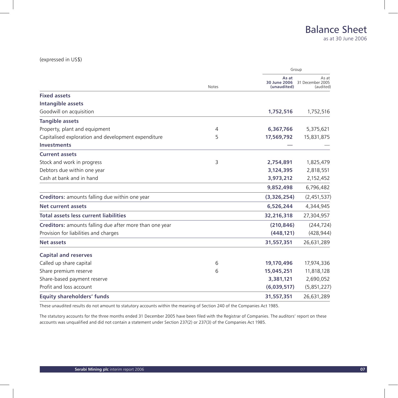### (expressed in US\$)

|                                                         | <b>Notes</b> |                                      | Group                                  |
|---------------------------------------------------------|--------------|--------------------------------------|----------------------------------------|
|                                                         |              | As at<br>30 June 2006<br>(unaudited) | As at<br>31 December 2005<br>(audited) |
| <b>Fixed assets</b>                                     |              |                                      |                                        |
| Intangible assets                                       |              |                                      |                                        |
| Goodwill on acquisition                                 |              | 1,752,516                            | 1,752,516                              |
| <b>Tangible assets</b>                                  |              |                                      |                                        |
| Property, plant and equipment                           | 4            | 6,367,766                            | 5,375,621                              |
| Capitalised exploration and development expenditure     | 5            | 17,569,792                           | 15,831,875                             |
| <b>Investments</b>                                      |              |                                      |                                        |
| <b>Current assets</b>                                   |              |                                      |                                        |
| Stock and work in progress                              | 3            | 2,754,891                            | 1,825,479                              |
| Debtors due within one year                             |              | 3,124,395                            | 2,818,551                              |
| Cash at bank and in hand                                |              | 3,973,212                            | 2,152,452                              |
|                                                         |              | 9,852,498                            | 6,796,482                              |
| Creditors: amounts falling due within one year          |              | (3,326,254)                          | (2,451,537)                            |
| <b>Net current assets</b>                               |              | 6,526,244                            | 4,344,945                              |
| <b>Total assets less current liabilities</b>            |              | 32,216,318                           | 27,304,957                             |
| Creditors: amounts falling due after more than one year |              | (210, 846)                           | (244, 724)                             |
| Provision for liabilities and charges                   |              | (448, 121)                           | (428, 944)                             |
| <b>Net assets</b>                                       |              | 31,557,351                           | 26,631,289                             |
| <b>Capital and reserves</b>                             |              |                                      |                                        |
| Called up share capital                                 | 6            | 19,170,496                           | 17,974,336                             |
| Share premium reserve                                   | 6            | 15,045,251                           | 11,818,128                             |
| Share-based payment reserve                             |              | 3,381,121                            | 2,690,052                              |
| Profit and loss account                                 |              | (6,039,517)                          | (5,851,227)                            |
| <b>Equity shareholders' funds</b>                       |              | 31,557,351                           | 26,631,289                             |
|                                                         |              |                                      |                                        |

These unaudited results do not amount to statutory accounts within the meaning of Section 240 of the Companies Act 1985.

The statutory accounts for the three months ended 31 December 2005 have been filed with the Registrar of Companies. The auditors' report on these accounts was unqualified and did not contain a statement under Section 237(2) or 237(3) of the Companies Act 1985.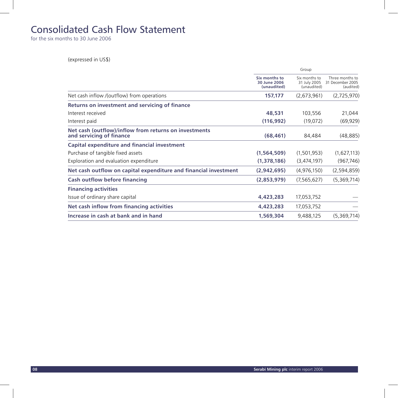### Consolidated Cash Flow Statement

for the six months to 30 June 2006

(expressed in US\$)

|                                                                                   | Group                                        |                                              |                                                  |
|-----------------------------------------------------------------------------------|----------------------------------------------|----------------------------------------------|--------------------------------------------------|
|                                                                                   | Six months to<br>30 June 2006<br>(unaudited) | Six months to<br>31 July 2005<br>(unaudited) | Three months to<br>31 December 2005<br>(audited) |
| Net cash inflow /(outflow) from operations                                        | 157,177                                      | (2,673,961)                                  | (2,725,970)                                      |
| Returns on investment and servicing of finance                                    |                                              |                                              |                                                  |
| Interest received                                                                 | 48,531                                       | 103,556                                      | 21,044                                           |
| Interest paid                                                                     | (116, 992)                                   | (19,072)                                     | (69, 929)                                        |
| Net cash (outflow)/inflow from returns on investments<br>and servicing of finance | (68, 461)                                    | 84,484                                       | (48, 885)                                        |
| Capital expenditure and financial investment                                      |                                              |                                              |                                                  |
| Purchase of tangible fixed assets                                                 | (1, 564, 509)                                | (1,501,953)                                  | (1,627,113)                                      |
| Exploration and evaluation expenditure                                            | (1,378,186)                                  | (3,474,197)                                  | (967, 746)                                       |
| Net cash outflow on capital expenditure and financial investment                  | (2,942,695)                                  | (4,976,150)                                  | (2,594,859)                                      |
| <b>Cash outflow before financing</b>                                              | (2,853,979)                                  | (7,565,627)                                  | (5,369,714)                                      |
| <b>Financing activities</b>                                                       |                                              |                                              |                                                  |
| Issue of ordinary share capital                                                   | 4,423,283                                    | 17,053,752                                   |                                                  |
| Net cash inflow from financing activities                                         | 4,423,283                                    | 17,053,752                                   |                                                  |
| Increase in cash at bank and in hand                                              | 1,569,304                                    | 9,488,125                                    | (5,369,714)                                      |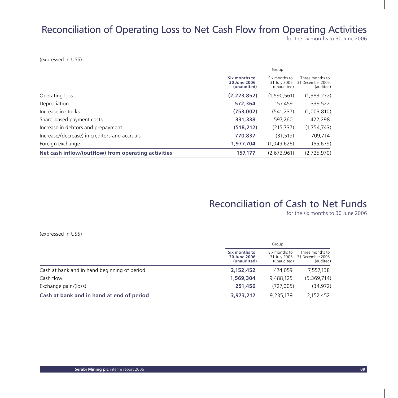# Reconciliation of Operating Loss to Net Cash Flow from Operating Activities

for the six months to 30 June 2006

(expressed in US\$)

|                                                     |                                              | Group                                        |                                                  |  |
|-----------------------------------------------------|----------------------------------------------|----------------------------------------------|--------------------------------------------------|--|
|                                                     | Six months to<br>30 June 2006<br>(unaudited) | Six months to<br>31 July 2005<br>(unaudited) | Three months to<br>31 December 2005<br>(audited) |  |
| Operating loss                                      | (2, 223, 852)                                | (1,590,561)                                  | (1,383,272)                                      |  |
| Depreciation                                        | 572,364                                      | 157,459                                      | 339,522                                          |  |
| Increase in stocks                                  | (753,002)                                    | (541, 237)                                   | (1,003,810)                                      |  |
| Share-based payment costs                           | 331,338                                      | 597,260                                      | 422,298                                          |  |
| Increase in debtors and prepayment                  | (518, 212)                                   | (215, 737)                                   | (1,754,743)                                      |  |
| Increase/(decrease) in creditors and accruals       | 770,837                                      | (31,519)                                     | 709,714                                          |  |
| Foreign exchange                                    | 1,977,704                                    | (1,049,626)                                  | (55, 679)                                        |  |
| Net cash inflow/(outflow) from operating activities | 157.177                                      | (2,673,961)                                  | (2,725,970)                                      |  |

### Reconciliation of Cash to Net Funds

for the six months to 30 June 2006

(expressed in US\$)

|                                              | Group                                        |                                              |                                                  |
|----------------------------------------------|----------------------------------------------|----------------------------------------------|--------------------------------------------------|
|                                              | Six months to<br>30 June 2006<br>(unaudited) | Six months to<br>31 July 2005<br>(unaudited) | Three months to<br>31 December 2005<br>(audited) |
| Cash at bank and in hand beginning of period | 2,152,452                                    | 474,059                                      | 7,557,138                                        |
| Cash flow                                    | 1,569,304                                    | 9.488.125                                    | (5,369,714)                                      |
| Exchange gain/(loss)                         | 251,456                                      | (727.005)                                    | (34, 972)                                        |
| Cash at bank and in hand at end of period    | 3,973,212                                    | 9.235.179                                    | 2.152.452                                        |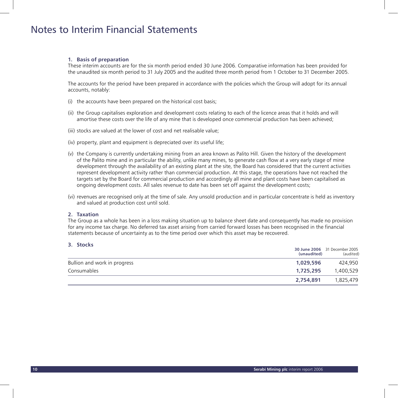### Notes to Interim Financial Statements

#### **1. Basis of preparation**

 These interim accounts are for the six month period ended 30 June 2006. Comparative information has been provided for the unaudited six month period to 31 July 2005 and the audited three month period from 1 October to 31 December 2005.

 The accounts for the period have been prepared in accordance with the policies which the Group will adopt for its annual accounts, notably:

- (i) the accounts have been prepared on the historical cost basis;
- (ii) the Group capitalises exploration and development costs relating to each of the licence areas that it holds and will amortise these costs over the life of any mine that is developed once commercial production has been achieved;
- (iii) stocks are valued at the lower of cost and net realisable value;
- (iv) property, plant and equipment is depreciated over its useful life;
- (v) the Company is currently undertaking mining from an area known as Palito Hill. Given the history of the development of the Palito mine and in particular the ability, unlike many mines, to generate cash flow at a very early stage of mine development through the availability of an existing plant at the site, the Board has considered that the current activities represent development activity rather than commercial production. At this stage, the operations have not reached the targets set by the Board for commercial production and accordingly all mine and plant costs have been capitalised as ongoing development costs. All sales revenue to date has been set off against the development costs;
- (vi) revenues are recognised only at the time of sale. Any unsold production and in particular concentrate is held as inventory and valued at production cost until sold.

#### **2. Taxation**

 The Group as a whole has been in a loss making situation up to balance sheet date and consequently has made no provision for any income tax charge. No deferred tax asset arising from carried forward losses has been recognised in the financial statements because of uncertainty as to the time period over which this asset may be recovered.

### **3. Stocks**

|                              | (unaudited) | 30 June 2006 31 December 2005<br>(audited) |
|------------------------------|-------------|--------------------------------------------|
| Bullion and work in progress | 1,029,596   | 424,950                                    |
| Consumables                  | 1,725,295   | 1,400,529                                  |
|                              | 2,754,891   | 1,825,479                                  |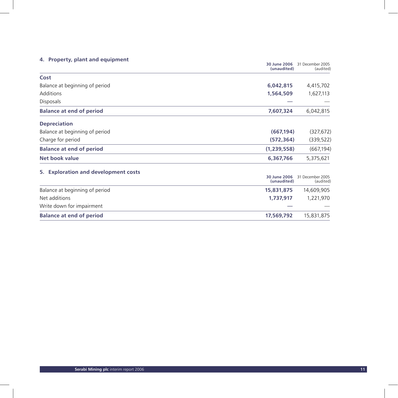### **4. Property, plant and equipment**

| per cy, plants and equipments        | 30 June 2006<br>(unaudited) | 31 December 2005<br>(audited) |
|--------------------------------------|-----------------------------|-------------------------------|
| Cost                                 |                             |                               |
| Balance at beginning of period       | 6,042,815                   | 4,415,702                     |
| Additions                            | 1,564,509                   | 1,627,113                     |
| <b>Disposals</b>                     |                             |                               |
| <b>Balance at end of period</b>      | 7,607,324                   | 6,042,815                     |
| <b>Depreciation</b>                  |                             |                               |
| Balance at beginning of period       | (667, 194)                  | (327, 672)                    |
| Charge for period                    | (572,364)                   | (339, 522)                    |
| <b>Balance at end of period</b>      | (1, 239, 558)               | (667, 194)                    |
| Net book value                       | 6,367,766                   | 5,375,621                     |
| 5. Exploration and development costs |                             |                               |
|                                      | 30 June 2006<br>(unaudited) | 31 December 2005<br>(audited) |
| Balance at beginning of period       | 15,831,875                  | 14,609,905                    |
| Net additions                        | 1,737,917                   | 1,221,970                     |
| Write down for impairment            |                             |                               |
| <b>Balance at end of period</b>      | 17,569,792                  | 15,831,875                    |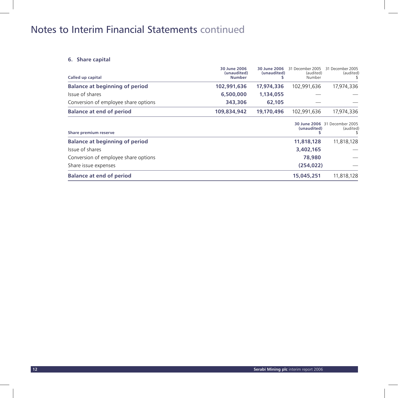# Notes to Interim Financial Statements continued

### **6. Share capital**

| Called up capital                     | 30 June 2006<br>(unaudited)<br><b>Number</b> | 30 June 2006<br>(unaudited) | 31 December 2005<br>(audited)<br>Number | 31 December 2005<br>(audited)              |
|---------------------------------------|----------------------------------------------|-----------------------------|-----------------------------------------|--------------------------------------------|
| <b>Balance at beginning of period</b> | 102,991,636                                  | 17.974.336                  | 102.991.636                             | 17,974,336                                 |
| Issue of shares                       | 6,500,000                                    | 1,134,055                   |                                         |                                            |
| Conversion of employee share options  | 343,306                                      | 62,105                      |                                         |                                            |
| <b>Balance at end of period</b>       | 109,834,942                                  | 19,170,496                  | 102,991,636                             | 17,974,336                                 |
| Share premium reserve                 |                                              |                             | (unaudited)                             | 30 June 2006 31 December 2005<br>(audited) |
| <b>Balance at beginning of period</b> |                                              |                             | 11,818,128                              | 11,818,128                                 |
| Issue of shares                       |                                              |                             | 3,402,165                               |                                            |
| Conversion of employee share options  |                                              |                             | 78,980                                  |                                            |
| Share issue expenses                  |                                              |                             | (254, 022)                              |                                            |
| <b>Balance at end of period</b>       |                                              |                             | 15,045,251                              | 11,818,128                                 |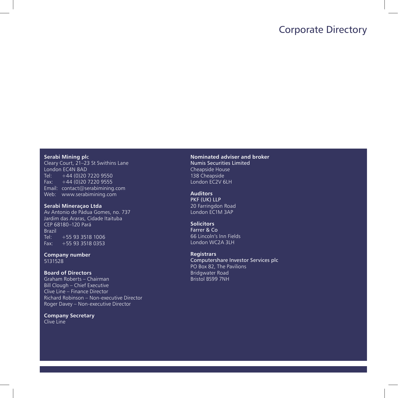### Corporate Directory

#### **Serabi Mining pl**c

Cleary Court, 21–23 St Swithins Lane London EC4N 8AD Tel:  $+44(0)2072209550$ Fax:  $+44 (0)20 7220 9555$ Email: contact@serabimining.com Web: www.serabimining.com

### **Serabi Mineraçao Ltda**

Av Antonio de Pádua Gomes, no. 737 Jardim das Araras, Cidade Itaituba CEP 68180–120 Pará Brazil<br>Tel: +55 93 3518 1006  $Fax: +559335180353$ 

**Company number** 5131528

#### **Board of Directors**

Graham Roberts – Chairman Bill Clough – Chief Executive Clive Line – Finance Director Richard Robinson – Non-executive Director Roger Davey – Non-executive Director

**Company Secretary** Clive Line

**Nominated adviser and broker** Numis Securities Limited Cheapside House 138 Cheapside London EC2V 6LH

**Auditors** PKF (UK) LLP 20 Farringdon Road London EC1M 3AP

### **Solicitors**

Farrer & Co 66 Lincoln's Inn Fields London WC2A 3LH

### **Registrars**

Computershare Investor Services plc PO Box 82, The Pavilions Bridgwater Road Bristol BS99 7NH